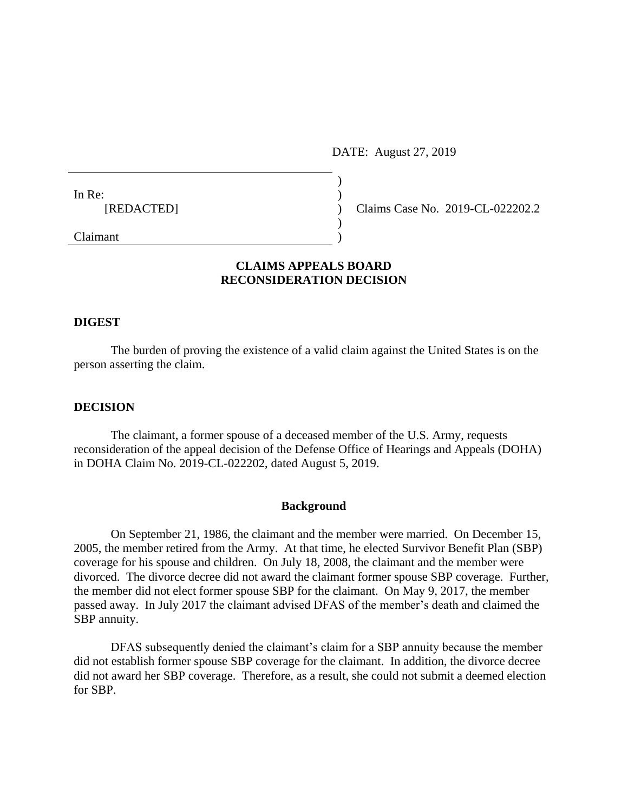DATE: August 27, 2019

| In Re:     |  |
|------------|--|
| [REDACTED] |  |
|            |  |

Claims Case No. 2019-CL-022202.2

# **CLAIMS APPEALS BOARD RECONSIDERATION DECISION**

) ) ) ) )

# **DIGEST**

Claimant

The burden of proving the existence of a valid claim against the United States is on the person asserting the claim.

#### **DECISION**

The claimant, a former spouse of a deceased member of the U.S. Army, requests reconsideration of the appeal decision of the Defense Office of Hearings and Appeals (DOHA) in DOHA Claim No. 2019-CL-022202, dated August 5, 2019.

#### **Background**

On September 21, 1986, the claimant and the member were married. On December 15, 2005, the member retired from the Army. At that time, he elected Survivor Benefit Plan (SBP) coverage for his spouse and children. On July 18, 2008, the claimant and the member were divorced. The divorce decree did not award the claimant former spouse SBP coverage. Further, the member did not elect former spouse SBP for the claimant. On May 9, 2017, the member passed away. In July 2017 the claimant advised DFAS of the member's death and claimed the SBP annuity.

DFAS subsequently denied the claimant's claim for a SBP annuity because the member did not establish former spouse SBP coverage for the claimant. In addition, the divorce decree did not award her SBP coverage. Therefore, as a result, she could not submit a deemed election for SBP.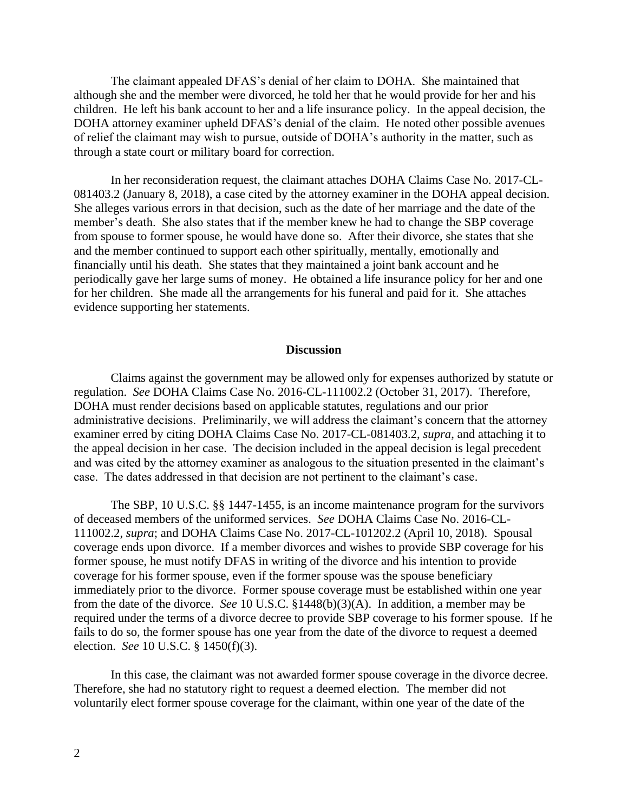The claimant appealed DFAS's denial of her claim to DOHA. She maintained that although she and the member were divorced, he told her that he would provide for her and his children. He left his bank account to her and a life insurance policy. In the appeal decision, the DOHA attorney examiner upheld DFAS's denial of the claim. He noted other possible avenues of relief the claimant may wish to pursue, outside of DOHA's authority in the matter, such as through a state court or military board for correction.

In her reconsideration request, the claimant attaches DOHA Claims Case No. 2017-CL-081403.2 (January 8, 2018), a case cited by the attorney examiner in the DOHA appeal decision. She alleges various errors in that decision, such as the date of her marriage and the date of the member's death. She also states that if the member knew he had to change the SBP coverage from spouse to former spouse, he would have done so. After their divorce, she states that she and the member continued to support each other spiritually, mentally, emotionally and financially until his death. She states that they maintained a joint bank account and he periodically gave her large sums of money. He obtained a life insurance policy for her and one for her children. She made all the arrangements for his funeral and paid for it. She attaches evidence supporting her statements.

# **Discussion**

Claims against the government may be allowed only for expenses authorized by statute or regulation. *See* DOHA Claims Case No. 2016-CL-111002.2 (October 31, 2017). Therefore, DOHA must render decisions based on applicable statutes, regulations and our prior administrative decisions. Preliminarily, we will address the claimant's concern that the attorney examiner erred by citing DOHA Claims Case No. 2017-CL-081403.2, *supra*, and attaching it to the appeal decision in her case. The decision included in the appeal decision is legal precedent and was cited by the attorney examiner as analogous to the situation presented in the claimant's case. The dates addressed in that decision are not pertinent to the claimant's case.

The SBP, 10 U.S.C. §§ 1447-1455, is an income maintenance program for the survivors of deceased members of the uniformed services. *See* DOHA Claims Case No. 2016-CL-111002.2, *supra*; and DOHA Claims Case No. 2017-CL-101202.2 (April 10, 2018). Spousal coverage ends upon divorce. If a member divorces and wishes to provide SBP coverage for his former spouse, he must notify DFAS in writing of the divorce and his intention to provide coverage for his former spouse, even if the former spouse was the spouse beneficiary immediately prior to the divorce. Former spouse coverage must be established within one year from the date of the divorce. *See* 10 U.S.C. §1448(b)(3)(A). In addition, a member may be required under the terms of a divorce decree to provide SBP coverage to his former spouse. If he fails to do so, the former spouse has one year from the date of the divorce to request a deemed election. *See* 10 U.S.C. § 1450(f)(3).

In this case, the claimant was not awarded former spouse coverage in the divorce decree. Therefore, she had no statutory right to request a deemed election. The member did not voluntarily elect former spouse coverage for the claimant, within one year of the date of the